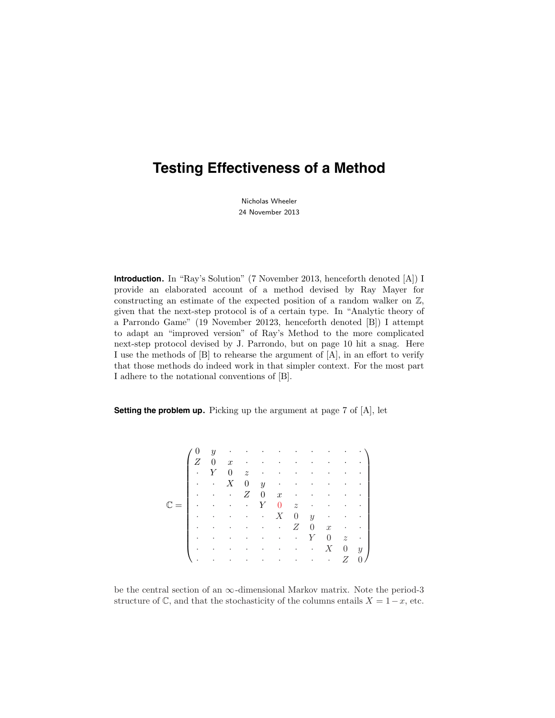# **Testing Effectiveness of a Method**

Nicholas Wheeler 24 November 2013

**Introduction.** In "Ray's Solution" (7 November 2013, henceforth denoted [A]) I provide an elaborated account of a method devised by Ray Mayer for constructing an estimate of the expected position of a random walker on Z, given that the next-step protocol is of a certain type. In "Analytic theory of a Parrondo Game" (19 November 20123, henceforth denoted [B]) I attempt to adapt an "improved version" of Ray's Method to the more complicated next-step protocol devised by J. Parrondo, but on page 10 hit a snag. Here I use the methods of [B] to rehearse the argument of [A], in an effort to verify that those methods do indeed work in that simpler context. For the most part I adhere to the notational conventions of [B].

**Setting the problem up.** Picking up the argument at page 7 of [A], let

|  | $\mathbf{0}$         |                                                                                 |                                                                                                                         |                         |                                               |                                 |                |                                                                                                                                                             |                |                                                    |
|--|----------------------|---------------------------------------------------------------------------------|-------------------------------------------------------------------------------------------------------------------------|-------------------------|-----------------------------------------------|---------------------------------|----------------|-------------------------------------------------------------------------------------------------------------------------------------------------------------|----------------|----------------------------------------------------|
|  | Ζ                    |                                                                                 |                                                                                                                         |                         |                                               |                                 |                |                                                                                                                                                             |                |                                                    |
|  | $\cdot$              | Y                                                                               | 0                                                                                                                       |                         | $z \rightarrow z$                             |                                 |                | $\mathcal{A}(\mathcal{A})$ and $\mathcal{A}(\mathcal{A})$ and $\mathcal{A}(\mathcal{A})$                                                                    |                |                                                    |
|  | $\blacksquare$       | $\sim$                                                                          | X                                                                                                                       |                         |                                               |                                 |                | $0 \quad y \quad \  \, \cdot \quad \  \  \, \cdot \quad \  \  \, \cdot \quad \  \  \, \cdot \quad \  \  \, \cdot \quad \  \  \, \cdot \quad \  \  \, \cdot$ |                | $\sim$ $\sim$ 1                                    |
|  |                      |                                                                                 | $\mathbf{u}^{\prime}$ , $\mathbf{u}^{\prime}$ , $\mathbf{u}^{\prime}$ , $\mathbf{u}^{\prime}$ , $\mathbf{u}^{\prime}$ , | Ζ                       |                                               |                                 |                |                                                                                                                                                             |                | $0 \quad x \quad \cdots \quad \cdots \quad \cdots$ |
|  |                      | $\mathcal{L}^{\text{c}}(\mathcal{A})$ and $\mathcal{L}^{\text{c}}(\mathcal{A})$ |                                                                                                                         | $\langle \cdot \rangle$ | $Y = 0$ $z = 0$                               |                                 |                |                                                                                                                                                             |                | - - 1                                              |
|  | $\ddot{\phantom{0}}$ |                                                                                 | $\epsilon = 1.4$ and $\epsilon$                                                                                         |                         | $\cdot$ X                                     | $\begin{matrix} 0 \end{matrix}$ |                |                                                                                                                                                             |                | $y \rightarrow \cdots$                             |
|  | $\sim 100$           | $\sim$                                                                          | $\sim$ $-$                                                                                                              |                         | and the control of the                        | Ζ                               | $\overline{0}$ |                                                                                                                                                             |                | $x \cdot \cdot \cdot$                              |
|  | $\cdot$              | $\sim$                                                                          | $\cdot$                                                                                                                 | $\bullet$               | $\mathbf{z} = \mathbf{z} + \mathbf{z}$ .      | $\langle\cdot\rangle$           | Y              | $\theta$                                                                                                                                                    |                | $z \rightarrow$                                    |
|  | $\cdot$              | $\bullet$                                                                       | $\sim 10^{-11}$                                                                                                         | $\sim$ $\sim$           | and the contract of the                       |                                 |                | X                                                                                                                                                           | $\overline{0}$ | $y \mid$                                           |
|  |                      | $\sim$                                                                          | $\sim$                                                                                                                  | $\sim$                  | $\Delta \phi = 1.00$ and $\Delta \phi = 1.00$ |                                 | $\bullet$      | $\sim 100$ km s $^{-1}$                                                                                                                                     | Z              | 0/                                                 |

be the central section of an  $\infty$ -dimensional Markov matrix. Note the period-3 structure of  $\mathbb{C}$ , and that the stochasticity of the columns entails  $X = 1-x$ , etc.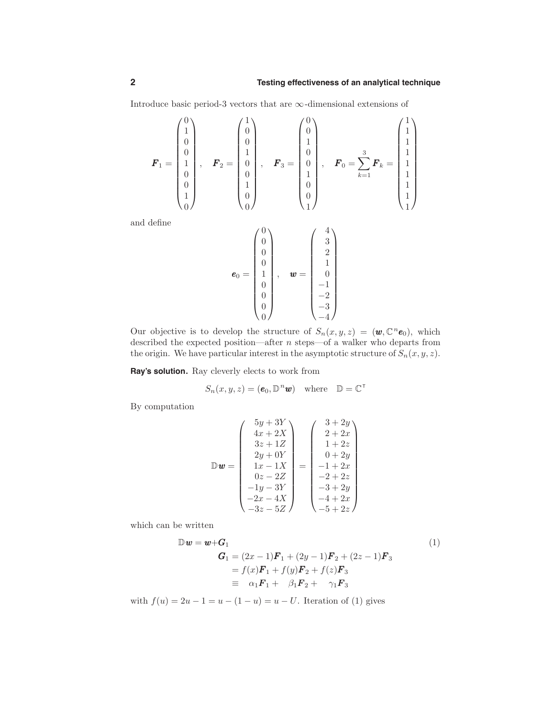Introduce basic period-3 vectors that are  $\infty$ -dimensional extensions of

$$
\boldsymbol{F}_1 = \begin{pmatrix} 0 \\ 1 \\ 0 \\ 0 \\ 1 \\ 0 \\ 1 \\ 0 \end{pmatrix}, \quad \boldsymbol{F}_2 = \begin{pmatrix} 1 \\ 0 \\ 0 \\ 1 \\ 0 \\ 0 \\ 1 \\ 0 \end{pmatrix}, \quad \boldsymbol{F}_3 = \begin{pmatrix} 0 \\ 0 \\ 1 \\ 0 \\ 0 \\ 1 \\ 0 \\ 0 \end{pmatrix}, \quad \boldsymbol{F}_0 = \sum_{k=1}^3 \boldsymbol{F}_k = \begin{pmatrix} 1 \\ 1 \\ 1 \\ 1 \\ 1 \\ 1 \\ 1 \\ 1 \end{pmatrix}
$$

and define

$$
\boldsymbol{e}_0 = \begin{pmatrix} 0 \\ 0 \\ 0 \\ 0 \\ 1 \\ 0 \\ 0 \\ 0 \end{pmatrix}, \quad \boldsymbol{w} = \begin{pmatrix} 4 \\ 3 \\ 2 \\ 1 \\ -1 \\ -1 \\ -2 \\ -3 \\ -4 \end{pmatrix}
$$

Our objective is to develop the structure of  $S_n(x, y, z) = (\mathbf{w}, \mathbb{C}^n \mathbf{e}_0)$ , which described the expected position—after  $n$  steps—of a walker who departs from the origin. We have particular interest in the asymptotic structure of  $S_n(x, y, z)$ .

**Ray's solution.** Ray cleverly elects to work from

$$
S_n(x, y, z) = (\mathbf{e}_0, \mathbb{D}^n \mathbf{w}) \quad \text{where} \quad \mathbb{D} = \mathbb{C}^\top
$$

By computation

$$
\mathbb{D}\mathbf{w} = \begin{pmatrix} 5y + 3Y \\ 4x + 2X \\ 3z + 1Z \\ 2y + 0Y \\ 1x - 1X \\ 0z - 2Z \\ -1y - 3Y \\ -3z - 5Z \end{pmatrix} = \begin{pmatrix} 3 + 2y \\ 2 + 2x \\ 1 + 2z \\ 0 + 2y \\ -1 + 2x \\ -2 + 2z \\ -3 + 2y \\ -4 + 2x \\ -5 + 2z \end{pmatrix}
$$

which can be written

$$
\mathbb{D}\mathbf{w} = \mathbf{w} + \mathbf{G}_1
$$
  
\n
$$
\mathbf{G}_1 = (2x - 1)\mathbf{F}_1 + (2y - 1)\mathbf{F}_2 + (2z - 1)\mathbf{F}_3
$$
  
\n
$$
= f(x)\mathbf{F}_1 + f(y)\mathbf{F}_2 + f(z)\mathbf{F}_3
$$
  
\n
$$
\equiv \alpha_1\mathbf{F}_1 + \beta_1\mathbf{F}_2 + \gamma_1\mathbf{F}_3
$$
\n(1)

with  $f(u) = 2u - 1 = u - (1 - u) = u - U$ . Iteration of (1) gives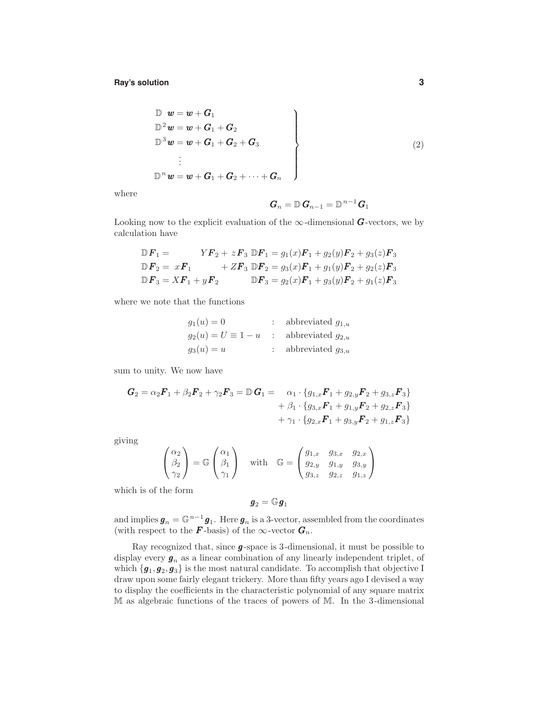**Ray's solution 3**

$$
\begin{aligned}\n\mathbb{D} \quad & \mathbf{w} = \mathbf{w} + \mathbf{G}_1 \\
\mathbb{D}^2 \mathbf{w} = \mathbf{w} + \mathbf{G}_1 + \mathbf{G}_2 \\
\mathbb{D}^3 \mathbf{w} = \mathbf{w} + \mathbf{G}_1 + \mathbf{G}_2 + \mathbf{G}_3 \\
&\vdots \\
\mathbb{D}^n \mathbf{w} = \mathbf{w} + \mathbf{G}_1 + \mathbf{G}_2 + \dots + \mathbf{G}_n\n\end{aligned}
$$
\n(2)

where

$$
\bm{G}_n = \mathbb{D}\,\bm{G}_{n-1} = \mathbb{D}^{n-1}\bm{G}_1
$$

Looking now to the explicit evaluation of the  $\infty$ -dimensional G-vectors, we by calculation have

$$
\mathbb{D}F_1 = YF_2 + zF_3 \mathbb{D}F_1 = g_1(x)F_1 + g_2(y)F_2 + g_3(z)F_3
$$
  
\n
$$
\mathbb{D}F_2 = xF_1 + ZF_3 \mathbb{D}F_2 = g_3(x)F_1 + g_1(y)F_2 + g_2(z)F_3
$$
  
\n
$$
\mathbb{D}F_3 = XF_1 + yF_2 \mathbb{D}F_3 = g_2(x)F_1 + g_3(y)F_2 + g_1(z)F_3
$$

where we note that the functions

| $g_1(u) = 0$                                      | : abbreviated $g_{1,u}$ |
|---------------------------------------------------|-------------------------|
| $g_2(u) = U \equiv 1 - u$ : abbreviated $g_{2,u}$ |                         |
| $g_3(u) = u$                                      | : abbreviated $g_{3,u}$ |

sum to unity. We now have

$$
G_2 = \alpha_2 F_1 + \beta_2 F_2 + \gamma_2 F_3 = \mathbb{D} G_1 = \alpha_1 \cdot \{g_{1,x} F_1 + g_{2,y} F_2 + g_{3,z} F_3\} + \beta_1 \cdot \{g_{3,x} F_1 + g_{1,y} F_2 + g_{2,z} F_3\} + \gamma_1 \cdot \{g_{2,x} F_1 + g_{3,y} F_2 + g_{1,z} F_3\}
$$

giving

$$
\begin{pmatrix}\n\alpha_2 \\
\beta_2 \\
\gamma_2\n\end{pmatrix} = \mathbb{G}\begin{pmatrix}\n\alpha_1 \\
\beta_1 \\
\gamma_1\n\end{pmatrix} \quad \text{with} \quad \mathbb{G} = \begin{pmatrix}\ng_{1,x} & g_{3,x} & g_{2,x} \\
g_{2,y} & g_{1,y} & g_{3,y} \\
g_{3,z} & g_{2,z} & g_{1,z}\n\end{pmatrix}
$$

which is of the form

$$
\bm{g}_2=\mathbb{G}\bm{g}_1
$$

and implies  $g_n = \mathbb{G}^{n-1} g_1$ . Here  $g_n$  is a 3-vector, assembled from the coordinates (with respect to the **F**-basis) of the  $\infty$ -vector  $\mathbf{G}_n$ .

Ray recognized that, since  $\pmb{g}\mbox{-space}$  is 3-dimensional, it must be possible to display every  $\mathbf{g}_n$  as a linear combination of any linearly independent triplet, of which  $\{g_1, g_2, g_3\}$  is the most natural candidate. To accomplish that objective I draw upon some fairly elegant trickery. More than fifty years ago I devised a way to display the coefficients in the characteristic polynomial of any square matrix M as algebraic functions of the traces of powers of M. In the 3-dimensional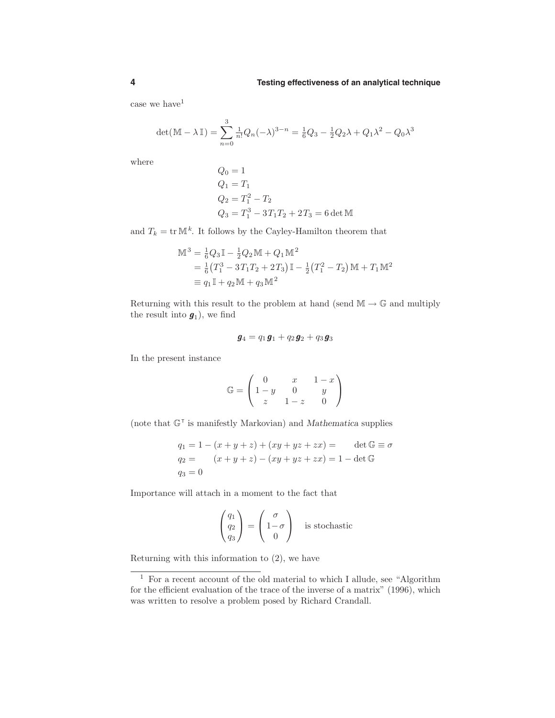case we have<sup>1</sup>

$$
\det(\mathbb{M} - \lambda \mathbb{I}) = \sum_{n=0}^{3} \frac{1}{n!} Q_n(-\lambda)^{3-n} = \frac{1}{6} Q_3 - \frac{1}{2} Q_2 \lambda + Q_1 \lambda^2 - Q_0 \lambda^3
$$

where

$$
Q_0 = 1
$$
  
\n
$$
Q_1 = T_1
$$
  
\n
$$
Q_2 = T_1^2 - T_2
$$
  
\n
$$
Q_3 = T_1^3 - 3T_1T_2 + 2T_3 = 6 \det M
$$

and  $T_k = \text{tr } \mathbb{M}^k$ . It follows by the Cayley-Hamilton theorem that

$$
\mathbb{M}^{3} = \frac{1}{6}Q_{3}\mathbb{I} - \frac{1}{2}Q_{2}\mathbb{M} + Q_{1}\mathbb{M}^{2}
$$
  
=  $\frac{1}{6}(T_{1}^{3} - 3T_{1}T_{2} + 2T_{3})\mathbb{I} - \frac{1}{2}(T_{1}^{2} - T_{2})\mathbb{M} + T_{1}\mathbb{M}^{2}$   
=  $q_{1}\mathbb{I} + q_{2}\mathbb{M} + q_{3}\mathbb{M}^{2}$ 

Returning with this result to the problem at hand (send  $\mathbb{M} \to \mathbb{G}$  and multiply the result into  $g_1$ ), we find

$$
\boldsymbol g_4 = q_1\boldsymbol g_1 + q_2\boldsymbol g_2 + q_3\boldsymbol g_3
$$

In the present instance

$$
\mathbb{G} = \begin{pmatrix} 0 & x & 1-x \\ 1-y & 0 & y \\ z & 1-z & 0 \end{pmatrix}
$$

(note that  $\mathbb{G}^{\mathsf{T}}$  is manifestly Markovian) and Mathematica supplies

$$
q_1 = 1 - (x + y + z) + (xy + yz + zx) = \det \mathbb{G} \equiv \sigma
$$
  
\n
$$
q_2 = (x + y + z) - (xy + yz + zx) = 1 - \det \mathbb{G}
$$
  
\n
$$
q_3 = 0
$$

Importance will attach in a moment to the fact that

$$
\begin{pmatrix} q_1 \\ q_2 \\ q_3 \end{pmatrix} = \begin{pmatrix} \sigma \\ 1 - \sigma \\ 0 \end{pmatrix}
$$
 is stochastic

Returning with this information to (2), we have

<sup>1</sup> For a recent account of the old material to which I allude, see "Algorithm for the efficient evaluation of the trace of the inverse of a matrix" (1996), which was written to resolve a problem posed by Richard Crandall.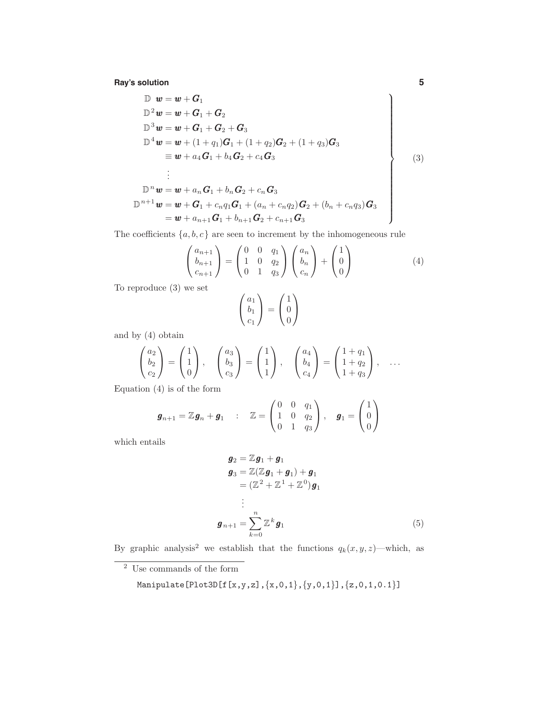**Ray's solution 5**

$$
\begin{aligned}\n\mathbb{D} \mathbf{w} &= \mathbf{w} + \mathbf{G}_1 \\
\mathbb{D}^2 \mathbf{w} &= \mathbf{w} + \mathbf{G}_1 + \mathbf{G}_2 \\
\mathbb{D}^3 \mathbf{w} &= \mathbf{w} + \mathbf{G}_1 + \mathbf{G}_2 + \mathbf{G}_3 \\
\mathbb{D}^4 \mathbf{w} &= \mathbf{w} + (1 + q_1)\mathbf{G}_1 + (1 + q_2)\mathbf{G}_2 + (1 + q_3)\mathbf{G}_3 \\
&= \mathbf{w} + a_4\mathbf{G}_1 + b_4\mathbf{G}_2 + c_4\mathbf{G}_3 \\
&\vdots \\
\mathbb{D}^n \mathbf{w} &= \mathbf{w} + a_n\mathbf{G}_1 + b_n\mathbf{G}_2 + c_n\mathbf{G}_3 \\
\mathbb{D}^{n+1} \mathbf{w} &= \mathbf{w} + \mathbf{G}_1 + c_nq_1\mathbf{G}_1 + (a_n + c_nq_2)\mathbf{G}_2 + (b_n + c_nq_3)\mathbf{G}_3 \\
&= \mathbf{w} + a_{n+1}\mathbf{G}_1 + b_{n+1}\mathbf{G}_2 + c_{n+1}\mathbf{G}_3\n\end{aligned}
$$
\n(3)

The coefficients  $\{a, b, c\}$  are seen to increment by the inhomogeneous rule

$$
\begin{pmatrix} a_{n+1} \\ b_{n+1} \\ c_{n+1} \end{pmatrix} = \begin{pmatrix} 0 & 0 & q_1 \\ 1 & 0 & q_2 \\ 0 & 1 & q_3 \end{pmatrix} \begin{pmatrix} a_n \\ b_n \\ c_n \end{pmatrix} + \begin{pmatrix} 1 \\ 0 \\ 0 \end{pmatrix}
$$
 (4)

To reproduce (3) we set

$$
\begin{pmatrix} a_1 \\ b_1 \\ c_1 \end{pmatrix} = \begin{pmatrix} 1 \\ 0 \\ 0 \end{pmatrix}
$$

and by (4) obtain

$$
\begin{pmatrix} a_2 \\ b_2 \\ c_2 \end{pmatrix} = \begin{pmatrix} 1 \\ 1 \\ 0 \end{pmatrix}, \quad \begin{pmatrix} a_3 \\ b_3 \\ c_3 \end{pmatrix} = \begin{pmatrix} 1 \\ 1 \\ 1 \end{pmatrix}, \quad \begin{pmatrix} a_4 \\ b_4 \\ c_4 \end{pmatrix} = \begin{pmatrix} 1+q_1 \\ 1+q_2 \\ 1+q_3 \end{pmatrix}, \quad \dots
$$
  
is a 6 the form

Equation (4) is of the form

$$
\boldsymbol{g}_{n+1} = \mathbb{Z}\boldsymbol{g}_n + \boldsymbol{g}_1 \quad : \quad \mathbb{Z} = \begin{pmatrix} 0 & 0 & q_1 \\ 1 & 0 & q_2 \\ 0 & 1 & q_3 \end{pmatrix}, \quad \boldsymbol{g}_1 = \begin{pmatrix} 1 \\ 0 \\ 0 \end{pmatrix}
$$

which entails

$$
\mathbf{g}_2 = \mathbb{Z}\mathbf{g}_1 + \mathbf{g}_1
$$
\n
$$
\mathbf{g}_3 = \mathbb{Z}(\mathbb{Z}\mathbf{g}_1 + \mathbf{g}_1) + \mathbf{g}_1
$$
\n
$$
= (\mathbb{Z}^2 + \mathbb{Z}^1 + \mathbb{Z}^0)\mathbf{g}_1
$$
\n
$$
\vdots
$$
\n
$$
\mathbf{g}_{n+1} = \sum_{k=0}^n \mathbb{Z}^k \mathbf{g}_1
$$
\n(5)

By graphic analysis<sup>2</sup> we establish that the functions  $q_k(x, y, z)$ —which, as

<sup>2</sup> Use commands of the form

$$
\texttt{Manipulate} \left[\texttt{Plot3D[f[x,y,z],\{x,0,1\},\{y,0,1\}],[z,0,1,0.1\}\right]
$$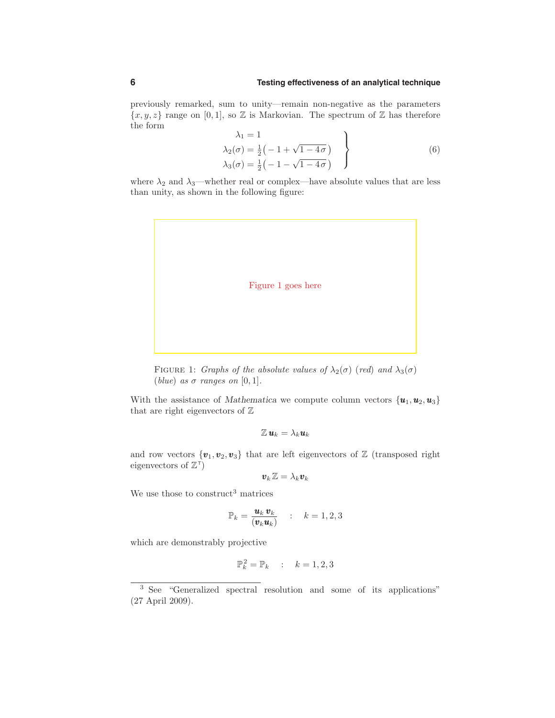## **6 Testing effectiveness of an analytical technique**

previously remarked, sum to unity—remain non-negative as the parameters  ${x, y, z}$  range on [0,1], so  $Z$  is Markovian. The spectrum of  $Z$  has therefore the form

$$
\lambda_1 = 1
$$
\n
$$
\lambda_2(\sigma) = \frac{1}{2} \left( -1 + \sqrt{1 - 4\sigma} \right)
$$
\n
$$
\lambda_3(\sigma) = \frac{1}{2} \left( -1 - \sqrt{1 - 4\sigma} \right)
$$
\n(6)

where  $\lambda_2$  and  $\lambda_3$ —whether real or complex—have absolute values that are less than unity, as shown in the following figure:



FIGURE 1: Graphs of the absolute values of  $\lambda_2(\sigma)$  (red) and  $\lambda_3(\sigma)$ (blue) as  $\sigma$  ranges on [0, 1].

With the assistance of Mathematica we compute column vectors  $\{u_1, u_2, u_3\}$ that are right eigenvectors of  $\mathbb Z$ 

$$
\mathbb{Z}\,\bm{u}_k=\lambda_k\bm{u}_k
$$

and row vectors  $\{v_1, v_2, v_3\}$  that are left eigenvectors of  $\mathbb Z$  (transposed right eigenvectors of  $\mathbb{Z}^{\mathsf{T}}$ )

$$
\boldsymbol{v}_k \, \mathbb{Z} = \lambda_k \boldsymbol{v}_k
$$

We use those to construct<sup>3</sup> matrices

$$
\mathbb{P}_k = \frac{\mathbf{u}_k \, \mathbf{v}_k}{(\mathbf{v}_k \mathbf{u}_k)} \qquad : \qquad k = 1, 2, 3
$$

which are demonstrably projective

$$
\mathbb{P}_k^2 = \mathbb{P}_k \qquad k = 1, 2, 3
$$

<sup>3</sup> See "Generalized spectral resolution and some of its applications" (27 April 2009).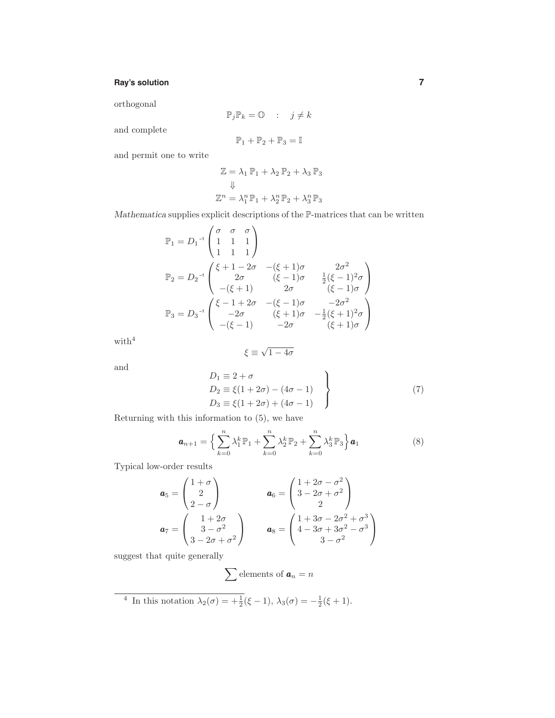# **Ray's solution 7**

orthogonal

$$
\mathbb{P}_j \mathbb{P}_k = \mathbb{O} \qquad ; \qquad j \neq k
$$

and complete

$$
\mathbb{P}_1 + \mathbb{P}_2 + \mathbb{P}_3 = \mathbb{I}
$$

and permit one to write

$$
\mathbb{Z} = \lambda_1 \mathbb{P}_1 + \lambda_2 \mathbb{P}_2 + \lambda_3 \mathbb{P}_3
$$
  

$$
\Downarrow
$$
  

$$
\mathbb{Z}^n = \lambda_1^n \mathbb{P}_1 + \lambda_2^n \mathbb{P}_2 + \lambda_3^n \mathbb{P}_3
$$

Mathematica supplies explicit descriptions of the P-matrices that can be written

$$
\mathbb{P}_{1} = D_{1}^{-1} \begin{pmatrix} \sigma & \sigma & \sigma \\ 1 & 1 & 1 \\ 1 & 1 & 1 \end{pmatrix}
$$
  
\n
$$
\mathbb{P}_{2} = D_{2}^{-1} \begin{pmatrix} \xi + 1 - 2\sigma & -(\xi + 1)\sigma & 2\sigma^{2} \\ 2\sigma & (\xi - 1)\sigma & \frac{1}{2}(\xi - 1)^{2}\sigma \\ -(\xi + 1) & 2\sigma & (\xi - 1)\sigma \end{pmatrix}
$$
  
\n
$$
\mathbb{P}_{3} = D_{3}^{-1} \begin{pmatrix} \xi - 1 + 2\sigma & -(\xi - 1)\sigma & -2\sigma^{2} \\ -2\sigma & (\xi + 1)\sigma & -\frac{1}{2}(\xi + 1)^{2}\sigma \\ -(\xi - 1) & -2\sigma & (\xi + 1)\sigma \end{pmatrix}
$$

with  $4$ 

$$
\xi\equiv\sqrt{1-4\sigma}
$$

and

$$
D_1 \equiv 2 + \sigma
$$
  
\n
$$
D_2 \equiv \xi(1 + 2\sigma) - (4\sigma - 1)
$$
  
\n
$$
D_3 \equiv \xi(1 + 2\sigma) + (4\sigma - 1)
$$
\n(7)

Returning with this information to (5), we have

$$
\mathbf{a}_{n+1} = \left\{ \sum_{k=0}^{n} \lambda_1^k \mathbb{P}_1 + \sum_{k=0}^{n} \lambda_2^k \mathbb{P}_2 + \sum_{k=0}^{n} \lambda_3^k \mathbb{P}_3 \right\} \mathbf{a}_1
$$
 (8)

Typical low-order results

$$
\mathbf{a}_5 = \begin{pmatrix} 1+\sigma \\ 2 \\ 2-\sigma \end{pmatrix} \qquad \mathbf{a}_6 = \begin{pmatrix} 1+2\sigma-\sigma^2 \\ 3-2\sigma+\sigma^2 \\ 2 \end{pmatrix}
$$

$$
\mathbf{a}_7 = \begin{pmatrix} 1+2\sigma \\ 3-\sigma^2 \\ 3-2\sigma+\sigma^2 \end{pmatrix} \qquad \mathbf{a}_8 = \begin{pmatrix} 1+3\sigma-2\sigma^2+\sigma^3 \\ 4-3\sigma+3\sigma^2-\sigma^3 \\ 3-\sigma^2 \end{pmatrix}
$$

suggest that quite generally

$$
\sum \text{elements of } \boldsymbol{a}_n = n
$$

<sup>4</sup> In this notation  $\lambda_2(\sigma) = +\frac{1}{2}(\xi - 1), \lambda_3(\sigma) = -\frac{1}{2}(\xi + 1).$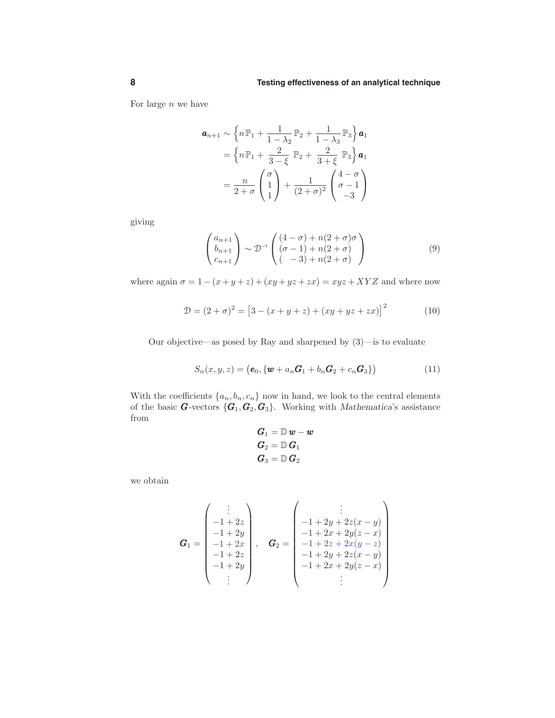For large  $n$  we have

$$
\mathbf{a}_{n+1} \sim \left\{ n\mathbb{P}_1 + \frac{1}{1-\lambda_2} \mathbb{P}_2 + \frac{1}{1-\lambda_3} \mathbb{P}_3 \right\} \mathbf{a}_1
$$

$$
= \left\{ n\mathbb{P}_1 + \frac{2}{3-\xi} \mathbb{P}_2 + \frac{2}{3+\xi} \mathbb{P}_3 \right\} \mathbf{a}_1
$$

$$
= \frac{n}{2+\sigma} \begin{pmatrix} \sigma \\ 1 \\ 1 \end{pmatrix} + \frac{1}{(2+\sigma)^2} \begin{pmatrix} 4-\sigma \\ \sigma - 1 \\ -3 \end{pmatrix}
$$

giving

$$
\begin{pmatrix} a_{n+1} \\ b_{n+1} \\ c_{n+1} \end{pmatrix} \sim \mathcal{D}^{-1} \begin{pmatrix} (4-\sigma) + n(2+\sigma)\sigma \\ (\sigma-1) + n(2+\sigma) \\ (-3) + n(2+\sigma) \end{pmatrix}
$$
 (9)

where again  $\sigma = 1 - (x + y + z) + (xy + yz + zx) = xyz + XYZ$  and where now

$$
\mathcal{D} = (2 + \sigma)^2 = [3 - (x + y + z) + (xy + yz + zx)]^2 \tag{10}
$$

Our objective—as posed by Ray and sharpened by (3)—is to evaluate

$$
S_n(x, y, z) = (e_0, \{w + a_n G_1 + b_n G_2 + c_n G_3\})
$$
\n(11)

With the coefficients  $\{a_n, b_n, c_n\}$  now in hand, we look to the central elements of the basic **G**-vectors  $\{G_1, G_2, G_3\}$ . Working with *Mathematica's* assistance from

$$
\begin{aligned} \boldsymbol{G}_1 &= \mathbb{D}\,\boldsymbol{w} - \boldsymbol{w} \\ \boldsymbol{G}_2 &= \mathbb{D}\,\boldsymbol{G}_1 \\ \boldsymbol{G}_3 &= \mathbb{D}\,\boldsymbol{G}_2 \end{aligned}
$$

we obtain

$$
\mathbf{G}_1 = \begin{pmatrix} \vdots \\ -1+2z \\ -1+2y \\ -1+2x \\ -1+2z \\ -1+2y \\ \vdots \end{pmatrix}, \quad \mathbf{G}_2 = \begin{pmatrix} \vdots \\ -1+2y+2z(x-y) \\ -1+2x+2y(z-x) \\ -1+2z+2x(y-z) \\ -1+2y+2z(x-y) \\ -1+2x+2y(z-x) \\ \vdots \end{pmatrix}
$$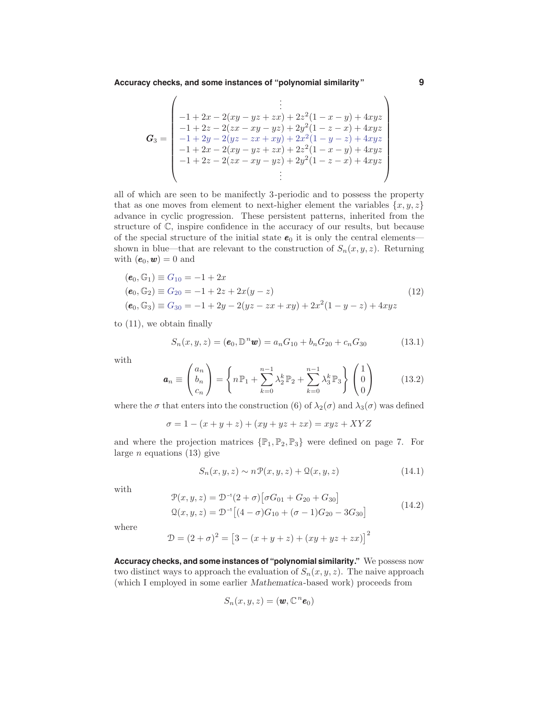**Accuracy checks, and some instances of "polynomial similarity" 9**

$$
\mathbf{G}_3 = \begin{pmatrix}\n\vdots \\
-1 + 2x - 2(xy - yz + zx) + 2z^2(1 - x - y) + 4xyz \\
-1 + 2z - 2(zx - xy - yz) + 2y^2(1 - z - x) + 4xyz \\
-1 + 2y - 2(yz - zx + xy) + 2x^2(1 - y - z) + 4xyz \\
-1 + 2x - 2(xy - yz + zx) + 2z^2(1 - x - y) + 4xyz \\
-1 + 2z - 2(zx - xy - yz) + 2y^2(1 - z - x) + 4xyz \\
\vdots\n\end{pmatrix}
$$

all of which are seen to be manifectly 3-periodic and to possess the property that as one moves from element to next-higher element the variables  $\{x, y, z\}$ advance in cyclic progression. These persistent patterns, inherited from the structure of C, inspire confidence in the accuracy of our results, but because of the special structure of the initial state  $e_0$  it is only the central elements shown in blue—that are relevant to the construction of  $S_n(x, y, z)$ . Returning with  $(e_0, w) = 0$  and

$$
(\mathbf{e}_0, \mathbb{G}_1) \equiv G_{10} = -1 + 2x
$$
  
\n
$$
(\mathbf{e}_0, \mathbb{G}_2) \equiv G_{20} = -1 + 2z + 2x(y - z)
$$
  
\n
$$
(\mathbf{e}_0, \mathbb{G}_3) \equiv G_{30} = -1 + 2y - 2(yz - zx + xy) + 2x^2(1 - y - z) + 4xyz
$$
\n(12)

to (11), we obtain finally

 $\overline{ }$ 

$$
S_n(x, y, z) = (e_0, \mathbb{D}^n \mathbf{w}) = a_n G_{10} + b_n G_{20} + c_n G_{30}
$$
 (13.1)

with

$$
\mathbf{a}_n \equiv \begin{pmatrix} a_n \\ b_n \\ c_n \end{pmatrix} = \left\{ n \mathbb{P}_1 + \sum_{k=0}^{n-1} \lambda_2^k \mathbb{P}_2 + \sum_{k=0}^{n-1} \lambda_3^k \mathbb{P}_3 \right\} \begin{pmatrix} 1 \\ 0 \\ 0 \end{pmatrix} \tag{13.2}
$$

where the  $\sigma$  that enters into the construction (6) of  $\lambda_2(\sigma)$  and  $\lambda_3(\sigma)$  was defined

$$
\sigma = 1 - (x + y + z) + (xy + yz + zx) = xyz + XYZ
$$

and where the projection matrices  $\{\mathbb{P}_1, \mathbb{P}_2, \mathbb{P}_3\}$  were defined on page 7. For large  $n$  equations (13) give

$$
S_n(x, y, z) \sim n \mathcal{P}(x, y, z) + \mathcal{Q}(x, y, z) \tag{14.1}
$$

with

$$
\mathcal{P}(x, y, z) = \mathcal{D}^{-1}(2 + \sigma) [\sigma G_{01} + G_{20} + G_{30}]
$$
  
\n
$$
\mathcal{Q}(x, y, z) = \mathcal{D}^{-1} [(4 - \sigma)G_{10} + (\sigma - 1)G_{20} - 3G_{30}]
$$
\n(14.2)

where

$$
\mathcal{D} = (2 + \sigma)^2 = [3 - (x + y + z) + (xy + yz + zx)]^2
$$

**Accuracy checks, and some instances of "polynomial similarity."** We possess now two distinct ways to approach the evaluation of  $S_n(x, y, z)$ . The naive approach (which I employed in some earlier Mathematica-based work) proceeds from

$$
S_n(x, y, z) = (\boldsymbol{w}, \mathbb{C}^n \boldsymbol{e}_0)
$$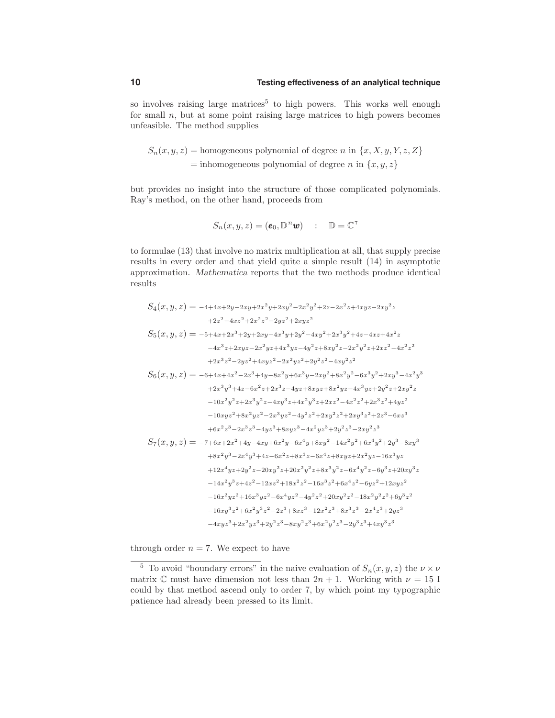# **10 Testing effectiveness of an analytical technique**

so involves raising large matrices<sup>5</sup> to high powers. This works well enough for small  $n$ , but at some point raising large matrices to high powers becomes unfeasible. The method supplies

 $S_n(x, y, z)$  = homogeneous polynomial of degree n in  $\{x, X, y, Y, z, Z\}$  $=$  inhomogeneous polynomial of degree n in  $\{x, y, z\}$ 

but provides no insight into the structure of those complicated polynomials. Ray's method, on the other hand, proceeds from

$$
S_n(x, y, z) = (\mathbf{e}_0, \mathbb{D}^n \mathbf{w}) \quad : \quad \mathbb{D} = \mathbb{C}^\top
$$

to formulae (13) that involve no matrix multiplication at all, that supply precise results in every order and that yield quite a simple result (14) in asymptotic approximation. Mathematica reports that the two methods produce identical results

$$
S_4(x, y, z) = -4+4x+2y-2xy+2x^2y+2xy^2-2x^2y^2+2z-2x^2z+4xyz-2xy^2z
$$
  
\n
$$
+2z^2-4xz^2+2x^2z^2-2yz^2+2xyz^2
$$
  
\n
$$
S_5(x, y, z) = -5+4x+2x^3+2y+2xy-4x^3y+2y^2-4xy^2+2x^3y^2+4z-4xz+4x^2z
$$
  
\n
$$
-4x^3z+2xyz-2x^2yz+4x^3yz-4y^2z+8xy^2z-2x^2y^2z+2xz^2-4x^2z^2
$$
  
\n
$$
+2x^3z^2-2yz^2+4xyz^2-2x^2yz^2+2y^2z^2-4xy^2z^2
$$
  
\n
$$
S_6(x, y, z) = -6+4x+4x^2-2x^3+4y-8x^2y+6x^3y-2xy^2+8x^2y^2-6x^3y^2+2xy^3-4x^2y^3
$$
  
\n
$$
+2x^3y^3+4z-6x^2z+2x^3z-4yz+8xyz+8x^2yz-4x^3yz+2y^2z+2xy^2z
$$
  
\n
$$
-10x^2y^2z+2x^3y^2z-4xy^3z+4x^2y^3z+2xz^2-4x^2z^2+2x^3z^2+4yz^2
$$
  
\n
$$
-10xyz^2+8x^2yz^2-2x^3yz^2-4y^2z^2+2xy^2z^2+2xy^3z^2+2z^3-6xz^3
$$
  
\n
$$
+6x^2z^3-2x^3z^3-4yz^3+8xyz^3-4x^2yz^3+2y^2z^3-2xy^2z^3
$$
  
\n
$$
S_7(x, y, z) = -7+6x+2x^2+4y-4xy+6x^2y-6x^4y+8xy^2-14x^2y^2+6x^4y^2+2y^3-8xy^3
$$
  
\n
$$
+8x^2y^3-2x^4y^3+4z
$$

through order  $n = 7$ . We expect to have

<sup>&</sup>lt;sup>5</sup> To avoid "boundary errors" in the naive evaluation of  $S_n(x, y, z)$  the  $\nu \times \nu$ matrix C must have dimension not less than  $2n + 1$ . Working with  $\nu = 15$  I could by that method ascend only to order 7, by which point my typographic patience had already been pressed to its limit.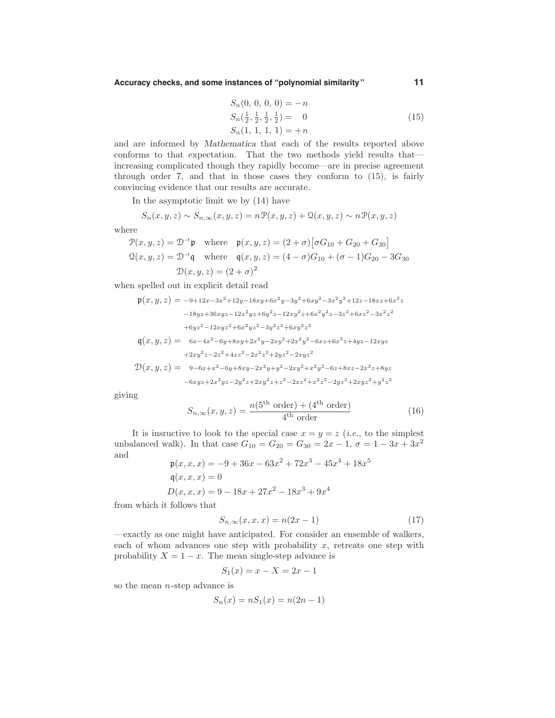**Accuracy checks, and some instances of "polynomial similarity" 11**

$$
S_n(0, 0, 0, 0) = -n
$$
  
\n
$$
S_n(\frac{1}{2}, \frac{1}{2}, \frac{1}{2}, \frac{1}{2}) = 0
$$
  
\n
$$
S_n(1, 1, 1, 1) = +n
$$
\n(15)

and are informed by Mathematica that each of the results reported above conforms to that expectation. That the two methods yield results that increasing complicated though they rapidly become—are in precise agreement through order 7, and that in those cases they conform to (15), is fairly convincing evidence that our results are accurate.

In the asymptotic limit we by (14) have

$$
S_n(x, y, z) \sim S_{n, \infty}(x, y, z) = n \mathcal{P}(x, y, z) + \mathcal{Q}(x, y, z) \sim n \mathcal{P}(x, y, z)
$$

where

$$
\mathcal{P}(x, y, z) = \mathcal{D}^{-1} \mathfrak{p} \text{ where } \mathfrak{p}(x, y, z) = (2 + \sigma) [\sigma G_{10} + G_{20} + G_{30}]
$$
  
\n
$$
\mathcal{Q}(x, y, z) = \mathcal{D}^{-1} \mathfrak{q} \text{ where } \mathfrak{q}(x, y, z) = (4 - \sigma)G_{10} + (\sigma - 1)G_{20} - 3G_{30}
$$
  
\n
$$
\mathcal{D}(x, y, z) = (2 + \sigma)^2
$$

when spelled out in explicit detail read

$$
\mathfrak{p}(x,y,z) = -9+12x-3x^2+12y-18xy+6x^2y-3y^2+6xy^2-3x^2y^2+12z-18xz+6x^2z
$$
  
\n
$$
-18yz+36xyz-12x^2yz+6y^2z-12xy^2z+6x^2y^2z-3z^2+6xz^2-3x^2z^2
$$
  
\n
$$
+6yz^2-12xyz^2+6x^2yz^2-3y^2z^2+6xy^2z^2
$$
  
\n
$$
\mathfrak{q}(x,y,z) = 6x-4x^2-6y+8xy+2x^2y-2xy^2+2x^2y^2-6xz+6x^2z+4yz-12xyz
$$
  
\n
$$
+2xy^2z-2z^2+4xz^2-2x^2z^2+2yz^2-2xyz^2
$$
  
\n
$$
\mathfrak{D}(x,y,z) = 9-6x+x^2-6y+8xy-2x^2y+y^2-2xy^2+x^2y^2-6z+8xz-2x^2z+8yz
$$
  
\n
$$
-6xyz+2x^2yz-2y^2z+2xy^2z+z^2-2xz^2+x^2z^2-2yz^2+2xyz^2+y^2z^2
$$

giving

$$
S_{n,\infty}(x,y,z) = \frac{n(5^{\text{th}} \text{ order}) + (4^{\text{th}} \text{ order})}{4^{\text{th}} \text{ order}}
$$
\n(16)

It is insructive to look to the special case  $x = y = z$  (*i.e.*, to the simplest unbalanced walk). In that case  $G_{10} = G_{20} = G_{30} = 2x - 1, \sigma = 1 - 3x + 3x^2$ and

$$
\begin{aligned} \mathfrak{p}(x, x, x) &= -9 + 36x - 63x^2 + 72x^3 - 45x^4 + 18x^5 \\ \mathfrak{q}(x, x, x) &= 0 \\ D(x, x, x) &= 9 - 18x + 27x^2 - 18x^3 + 9x^4 \end{aligned}
$$

from which it follows that

$$
S_{n,\infty}(x,x,x) = n(2x - 1)
$$
\n(17)

—exactly as one might have anticipated. For consider an ensemble of walkers, each of whom advances one step with probability  $x$ , retreats one step with probability  $X = 1 - x$ . The mean single-step advance is

$$
S_1(x) = x - X = 2x - 1
$$

so the mean  $n$ -step advance is

$$
S_n(x) = nS_1(x) = n(2n - 1)
$$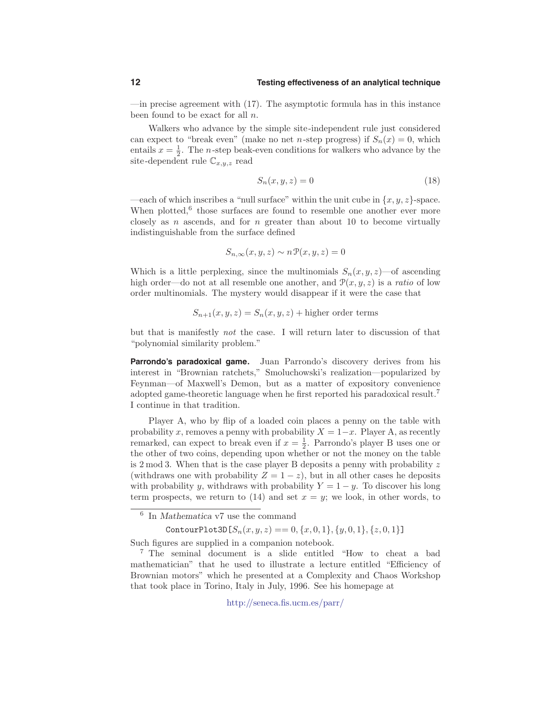$\equiv$  —in precise agreement with (17). The asymptotic formula has in this instance been found to be exact for all  $n$ .

Walkers who advance by the simple site-independent rule just considered can expect to "break even" (make no net *n*-step progress) if  $S_n(x) = 0$ , which entails  $x = \frac{1}{2}$ . The *n*-step beak-even conditions for walkers who advance by the site-dependent rule  $\mathbb{C}_{x,y,z}$  read

$$
S_n(x, y, z) = 0 \tag{18}
$$

—each of which inscribes a "null surface" within the unit cube in  $\{x, y, z\}$ -space. When plotted, $6$  those surfaces are found to resemble one another ever more closely as n ascends, and for n greater than about 10 to become virtually indistinguishable from the surface defined

$$
S_{n,\infty}(x,y,z) \sim n \mathcal{P}(x,y,z) = 0
$$

Which is a little perplexing, since the multinomials  $S_n(x, y, z)$ —of ascending high order—do not at all resemble one another, and  $\mathcal{P}(x, y, z)$  is a *ratio* of low order multinomials. The mystery would disappear if it were the case that

$$
S_{n+1}(x, y, z) = S_n(x, y, z) + \text{higher order terms}
$$

but that is manifestly not the case. I will return later to discussion of that "polynomial similarity problem."

**Parrondo's paradoxical game.** Juan Parrondo's discovery derives from his interest in "Brownian ratchets," Smoluchowski's realization—popularized by Feynman—of Maxwell's Demon, but as a matter of expository convenience adopted game-theoretic language when he first reported his paradoxical result.<sup>7</sup> I continue in that tradition.

Player A, who by flip of a loaded coin places a penny on the table with probability x, removes a penny with probability  $X = 1-x$ . Player A, as recently remarked, can expect to break even if  $x = \frac{1}{2}$ . Parrondo's player B uses one or the other of two coins, depending upon whether or not the money on the table is 2 mod 3. When that is the case player B deposits a penny with probability  $z$ (withdraws one with probability  $Z = 1 - z$ ), but in all other cases he deposits with probability y, withdraws with probability  $Y = 1 - y$ . To discover his long term prospects, we return to (14) and set  $x = y$ ; we look, in other words, to

ContourPlot3D $[S_n(x, y, z) == 0, \{x, 0, 1\}, \{y, 0, 1\}, \{z, 0, 1\}]$ 

Such figures are supplied in a companion notebook.

<sup>7</sup> The seminal document is a slide entitled "How to cheat a bad mathematician" that he used to illustrate a lecture entitled "Efficiency of Brownian motors" which he presented at a Complexity and Chaos Workshop that took place in Torino, Italy in July, 1996. See his homepage at

http://seneca.fis.ucm.es/parr/

<sup>6</sup> In Mathematica v7 use the command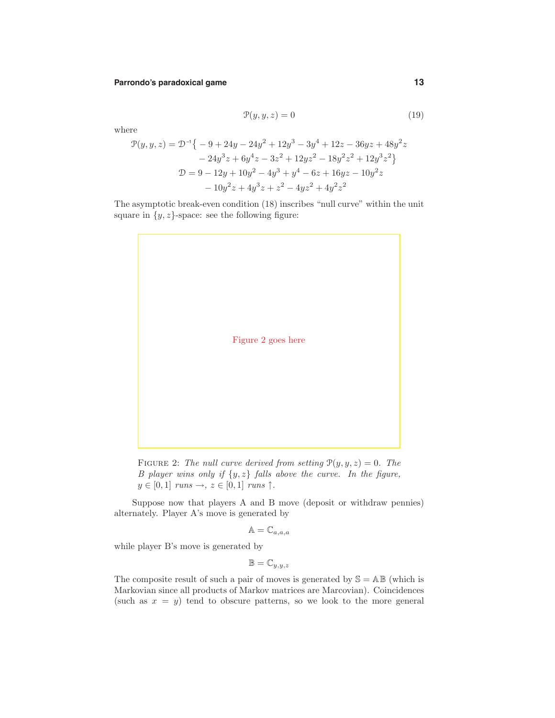# **Parrondo's paradoxical game 13**

$$
\mathcal{P}(y, y, z) = 0\tag{19}
$$

where

$$
\mathcal{P}(y, y, z) = \mathcal{D}^{-1}\{-9 + 24y - 24y^2 + 12y^3 - 3y^4 + 12z - 36yz + 48y^2z
$$
  

$$
-24y^3z + 6y^4z - 3z^2 + 12yz^2 - 18y^2z^2 + 12y^3z^2\}
$$
  

$$
\mathcal{D} = 9 - 12y + 10y^2 - 4y^3 + y^4 - 6z + 16yz - 10y^2z
$$
  

$$
-10y^2z + 4y^3z + z^2 - 4yz^2 + 4y^2z^2
$$

The asymptotic break-even condition (18) inscribes "null curve" within the unit square in  $\{y, z\}$ -space: see the following figure:



FIGURE 2: The null curve derived from setting  $\mathcal{P}(y, y, z) = 0$ . The B player wins only if  $\{y, z\}$  falls above the curve. In the figure,  $y \in [0,1]$  runs  $\rightarrow$ ,  $z \in [0,1]$  runs  $\uparrow$ .

Suppose now that players A and B move (deposit or withdraw pennies) alternately. Player A's move is generated by

$$
\mathbb{A}=\mathbb{C}_{a,a,a}
$$

while player B's move is generated by

 $\mathbb{B} = \mathbb{C}_{y,y,z}$ 

The composite result of such a pair of moves is generated by  $\mathcal{S} = \mathbb{A}\mathbb{B}$  (which is Markovian since all products of Markov matrices are Marcovian). Coincidences (such as  $x = y$ ) tend to obscure patterns, so we look to the more general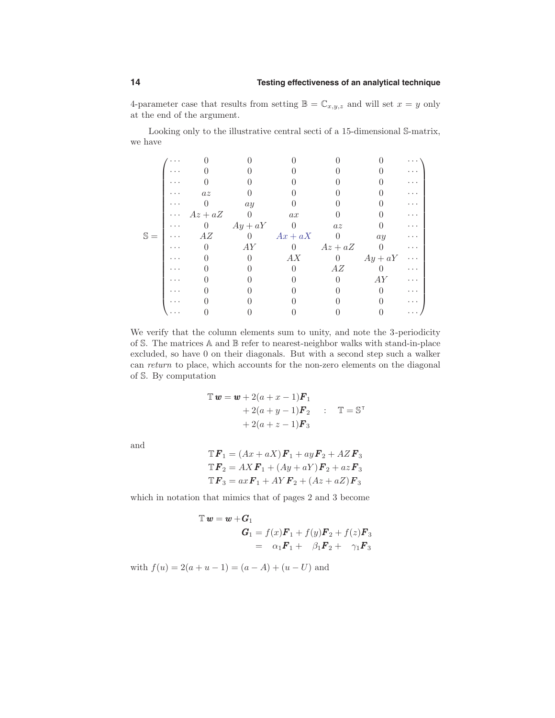4-parameter case that results from setting  $\mathbb{B} = \mathbb{C}_{x,y,z}$  and will set  $x = y$  only at the end of the argument.

Looking only to the illustrative central secti of a 15-dimensional S-matrix, we have

|                | .        |           |                |                  |                |           | .        |
|----------------|----------|-----------|----------------|------------------|----------------|-----------|----------|
|                |          |           |                |                  |                |           | .        |
|                |          |           |                |                  |                |           |          |
|                |          | $az$      |                |                  |                |           |          |
|                |          |           | ay             |                  |                |           |          |
|                | $\cdots$ | $Az + aZ$ | $\theta$       | ax               |                |           |          |
|                |          | $\theta$  | $Ay + aY$      | - 0              | az             |           |          |
| $\mathbb{S} =$ |          | AZ        | $\overline{0}$ | $Ax + aX$        | $\overline{0}$ | ay        |          |
|                |          |           | AY             | $\left( \right)$ | $Az + aZ$      | $\Omega$  | .        |
|                |          |           |                | AX               | $\theta$       | $Ay + aY$ | $\cdots$ |
|                |          |           |                |                  | ΑZ             |           | $\cdots$ |
|                |          |           |                |                  |                | AY        |          |
|                |          |           |                |                  |                |           |          |
|                |          |           |                |                  |                |           |          |
|                |          |           |                |                  |                |           |          |

We verify that the column elements sum to unity, and note the 3-periodicity of S. The matrices  $\mathbb A$  and  $\mathbb B$  refer to nearest-neighbor walks with stand-in-place excluded, so have 0 on their diagonals. But with a second step such a walker can return to place, which accounts for the non-zero elements on the diagonal of S. By computation

$$
\mathbb{T} \mathbf{w} = \mathbf{w} + 2(a + x - 1)\mathbf{F}_1
$$
  
+ 2(a + y - 1)\mathbf{F}\_2 : 
$$
\mathbb{T} = \mathbb{S}^{\mathsf{T}}
$$
  
+ 2(a + z - 1)\mathbf{F}\_3

and

$$
\mathbb{T}\mathbf{F}_1 = (Ax + aX)\mathbf{F}_1 + ay\mathbf{F}_2 + AZ\mathbf{F}_3
$$
  

$$
\mathbb{T}\mathbf{F}_2 = AX\mathbf{F}_1 + (Ay + aY)\mathbf{F}_2 + az\mathbf{F}_3
$$
  

$$
\mathbb{T}\mathbf{F}_3 = ax\mathbf{F}_1 + AY\mathbf{F}_2 + (Az + aZ)\mathbf{F}_3
$$

which in notation that mimics that of pages 2 and 3 become

$$
\mathbb{T} \mathbf{w} = \mathbf{w} + \mathbf{G}_1
$$
  
\n
$$
\mathbf{G}_1 = f(x)\mathbf{F}_1 + f(y)\mathbf{F}_2 + f(z)\mathbf{F}_3
$$
  
\n
$$
= \alpha_1 \mathbf{F}_1 + \beta_1 \mathbf{F}_2 + \gamma_1 \mathbf{F}_3
$$

with  $f(u) = 2(a + u - 1) = (a - A) + (u - U)$  and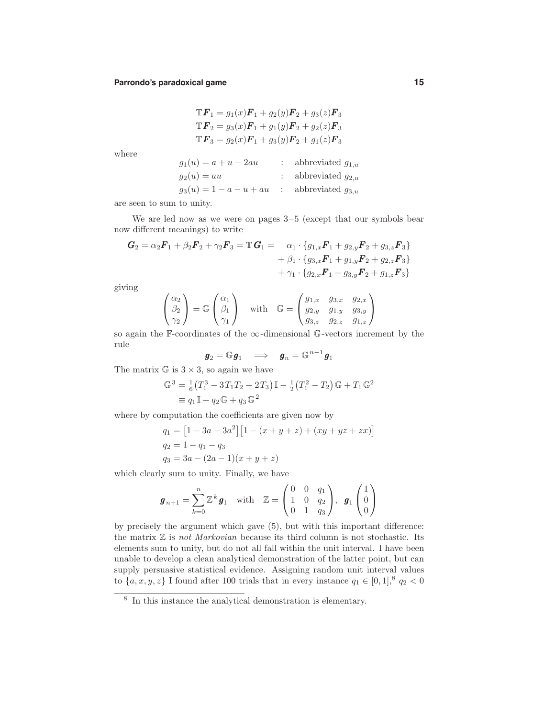#### **Parrondo's paradoxical game 15**

$$
\mathbb{T}\mathbf{F}_1 = g_1(x)\mathbf{F}_1 + g_2(y)\mathbf{F}_2 + g_3(z)\mathbf{F}_3
$$
  

$$
\mathbb{T}\mathbf{F}_2 = g_3(x)\mathbf{F}_1 + g_1(y)\mathbf{F}_2 + g_2(z)\mathbf{F}_3
$$
  

$$
\mathbb{T}\mathbf{F}_3 = g_2(x)\mathbf{F}_1 + g_3(y)\mathbf{F}_2 + g_1(z)\mathbf{F}_3
$$

where

$$
g_1(u) = a + u - 2au
$$
 : abbreviated  $g_{1,u}$   
\n $g_2(u) = au$  : abbreviated  $g_{2,u}$   
\n $g_3(u) = 1 - a - u + au$  : abbreviated  $g_{3,u}$ 

are seen to sum to unity.

We are led now as we were on pages 3–5 (except that our symbols bear now different meanings) to write

$$
G_2 = \alpha_2 F_1 + \beta_2 F_2 + \gamma_2 F_3 = \mathbb{T} G_1 = \alpha_1 \cdot \{g_{1,x} F_1 + g_{2,y} F_2 + g_{3,z} F_3\} + \beta_1 \cdot \{g_{3,x} F_1 + g_{1,y} F_2 + g_{2,z} F_3\} + \gamma_1 \cdot \{g_{2,x} F_1 + g_{3,y} F_2 + g_{1,z} F_3\}
$$

giving

$$
\begin{pmatrix}\n\alpha_2 \\
\beta_2 \\
\gamma_2\n\end{pmatrix} = \mathbb{G}\begin{pmatrix}\n\alpha_1 \\
\beta_1 \\
\gamma_1\n\end{pmatrix} \quad \text{with} \quad \mathbb{G} = \begin{pmatrix}\ng_{1,x} & g_{3,x} & g_{2,x} \\
g_{2,y} & g_{1,y} & g_{3,y} \\
g_{3,z} & g_{2,z} & g_{1,z}\n\end{pmatrix}
$$

so again the F-coordinates of the  $\infty$ -dimensional G-vectors increment by the rule

$$
{\boldsymbol g}_2 = \mathbb G {\boldsymbol g}_1 \quad \Longrightarrow \quad {\boldsymbol g}_n = \mathbb G^{\,n-1} {\boldsymbol g}_1
$$

The matrix  $\mathbb{G}$  is  $3 \times 3$ , so again we have

$$
\mathbb{G}^3 = \frac{1}{6} (T_1^3 - 3T_1T_2 + 2T_3) \mathbb{I} - \frac{1}{2} (T_1^2 - T_2) \mathbb{G} + T_1 \mathbb{G}^2
$$
  
\n
$$
\equiv q_1 \mathbb{I} + q_2 \mathbb{G} + q_3 \mathbb{G}^2
$$

where by computation the coefficients are given now by

$$
q_1 = [1 - 3a + 3a^2] [1 - (x + y + z) + (xy + yz + zx)]
$$
  
\n
$$
q_2 = 1 - q_1 - q_3
$$
  
\n
$$
q_3 = 3a - (2a - 1)(x + y + z)
$$

which clearly sum to unity. Finally, we have

$$
\boldsymbol{g}_{n+1} = \sum_{k=0}^{n} \mathbb{Z}^{k} \boldsymbol{g}_{1} \quad \text{with} \quad \mathbb{Z} = \begin{pmatrix} 0 & 0 & q_{1} \\ 1 & 0 & q_{2} \\ 0 & 1 & q_{3} \end{pmatrix}, \quad \boldsymbol{g}_{1} \begin{pmatrix} 1 \\ 0 \\ 0 \end{pmatrix}
$$

by precisely the argument which gave (5), but with this important difference: the matrix  $\mathbb Z$  is *not Markovian* because its third column is not stochastic. Its elements sum to unity, but do not all fall within the unit interval. I have been unable to develop a clean analytical demonstration of the latter point, but can supply persuasive statistical evidence. Assigning random unit interval values to  $\{a, x, y, z\}$  I found after 100 trials that in every instance  $q_1 \in [0, 1]$ ,  $q_2 < 0$ 

<sup>8</sup> In this instance the analytical demonstration is elementary.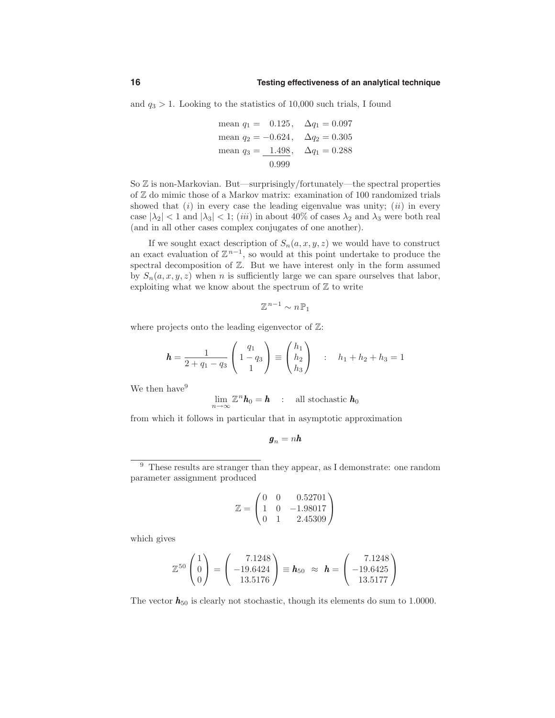and  $q_3 > 1$ . Looking to the statistics of 10,000 such trials, I found

mean 
$$
q_1 = 0.125
$$
,  $\Delta q_1 = 0.097$   
mean  $q_2 = -0.624$ ,  $\Delta q_2 = 0.305$   
mean  $q_3 = 1.498$ ,  $\Delta q_1 = 0.288$   
0.999

So  $\mathbb Z$  is non-Markovian. But—surprisingly/fortunately—the spectral properties of Z do mimic those of a Markov matrix: examination of 100 randomized trials showed that  $(i)$  in every case the leading eigenvalue was unity;  $(ii)$  in every case  $|\lambda_2|$  < 1 and  $|\lambda_3|$  < 1; (*iii*) in about 40% of cases  $\lambda_2$  and  $\lambda_3$  were both real (and in all other cases complex conjugates of one another).

If we sought exact description of  $S_n(a, x, y, z)$  we would have to construct an exact evaluation of  $\mathbb{Z}^{n-1}$ , so would at this point undertake to produce the spectral decomposition of Z. But we have interest only in the form assumed by  $S_n(a, x, y, z)$  when n is sufficiently large we can spare ourselves that labor, exploiting what we know about the spectrum of  $\mathbb Z$  to write

$$
\mathbb{Z}^{n-1} \sim n \mathbb{P}_1
$$

where projects onto the leading eigenvector of  $\mathbb{Z}$ :

$$
\mathbf{h} = \frac{1}{2 + q_1 - q_3} \begin{pmatrix} q_1 \\ 1 - q_3 \\ 1 \end{pmatrix} \equiv \begin{pmatrix} h_1 \\ h_2 \\ h_3 \end{pmatrix} : h_1 + h_2 + h_3 = 1
$$

We then have<sup>9</sup>

$$
\lim_{n\to\infty}\mathbb{Z}^n\boldsymbol{h}_0=\boldsymbol{h} \quad : \quad \text{all stochastic } \boldsymbol{h}_0
$$

from which it follows in particular that in asymptotic approximation

$$
\boldsymbol{g}_n = n \boldsymbol{h}
$$

$$
\mathbb{Z} = \begin{pmatrix} 0 & 0 & 0.52701 \\ 1 & 0 & -1.98017 \\ 0 & 1 & 2.45309 \end{pmatrix}
$$

which gives

$$
\mathbb{Z}^{50}\begin{pmatrix}1\\0\\0\end{pmatrix}=\begin{pmatrix}7.1248\\-19.6424\\13.5176\end{pmatrix}\equiv \mathbf{h}_{50} \approx \mathbf{h}=\begin{pmatrix}7.1248\\-19.6425\\13.5177\end{pmatrix}
$$

The vector  $h_{50}$  is clearly not stochastic, though its elements do sum to 1.0000.

<sup>&</sup>lt;sup>9</sup> These results are stranger than they appear, as I demonstrate: one random parameter assignment produced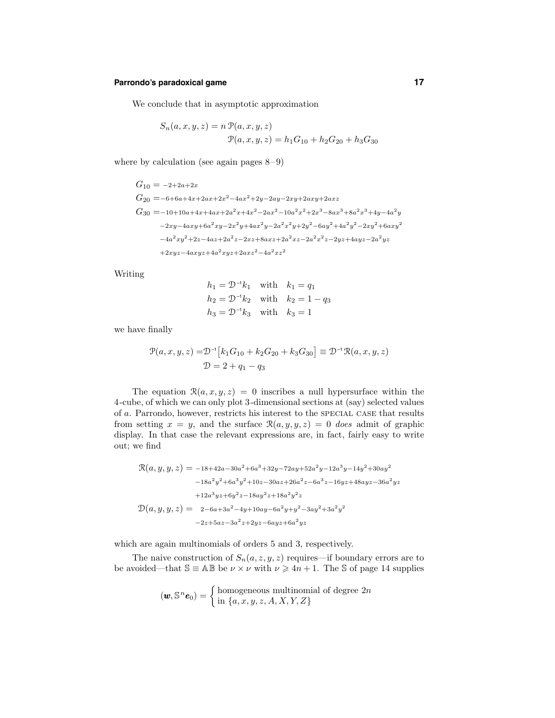# **Parrondo's paradoxical game 17**

We conclude that in asymptotic approximation

$$
S_n(a, x, y, z) = n \mathcal{P}(a, x, y, z)
$$

$$
\mathcal{P}(a, x, y, z) = h_1 G_{10} + h_2 G_{20} + h_3 G_{30}
$$

where by calculation (see again pages  $8-9$ )

$$
\begin{aligned} G_{10}=&-2+2a+2x \\ G_{20}=&-6+6a+4x+2ax+2x^2-4ax^2+2y-2ay-2xy+2axy+2axz \\ G_{30}=&-10+10a+4x+4ax+2a^2x+4x^2-2ax^2-10a^2x^2+2x^3-8ax^3+8a^2x^3+4y-4a^2y \\ &-2xy-4axy+6a^2xy-2x^2y+4ax^2y-2a^2x^2y+2y^2-6ay^2+4a^2y^2-2xy^2+6axy^2 \\ &-4a^2xy^2+2z-4az+2a^2z-2xz+8axz+2a^2xz-2a^2x^2z-2yz+4ayz-2a^2yz \\ &+2xyz-4axyz+4a^2xyz+2axz^2-4a^2xz^2 \end{aligned}
$$

Writing

$$
h_1 = \mathcal{D}^{-1}k_1
$$
 with  $k_1 = q_1$   
\n $h_2 = \mathcal{D}^{-1}k_2$  with  $k_2 = 1 - q_3$   
\n $h_3 = \mathcal{D}^{-1}k_3$  with  $k_3 = 1$ 

we have finally

$$
\mathcal{P}(a, x, y, z) = \mathcal{D}^{-1}[k_1 G_{10} + k_2 G_{20} + k_3 G_{30}] \equiv \mathcal{D}^{-1} \mathcal{R}(a, x, y, z)
$$

$$
\mathcal{D} = 2 + q_1 - q_3
$$

The equation  $\mathcal{R}(a, x, y, z) = 0$  inscribes a null hypersurface within the 4-cube, of which we can only plot 3-dimensional sections at (say) selected values of a. Parrondo, however, restricts his interest to the special case that results from setting  $x = y$ , and the surface  $\mathcal{R}(a, y, y, z) = 0$  does admit of graphic display. In that case the relevant expressions are, in fact, fairly easy to write out; we find

$$
\mathcal{R}(a, y, y, z) = -18 + 42a - 30a^2 + 6a^3 + 32y - 72ay + 52a^2y - 12a^3y - 14y^2 + 30ay^2
$$
  
\n
$$
-18a^2y^2 + 6a^3y^2 + 10z - 30az + 26a^2z - 6a^3z - 16yz + 48ayz - 36a^2yz
$$
  
\n
$$
+12a^3yz + 6y^2z - 18ay^2z + 18a^2y^2z
$$
  
\n
$$
\mathcal{D}(a, y, y, z) = 2 - 6a + 3a^2 - 4y + 10ay - 6a^2y + y^2 - 3ay^2 + 3a^2y^2
$$
  
\n
$$
-2z + 5az - 3a^2z + 2yz - 6ayz + 6a^2yz
$$

which are again multinomials of orders 5 and 3, respectively.

The naive construction of  $S_n(a, z, y, z)$  requires—if boundary errors are to be avoided—that  $\mathbb{S} \equiv \mathbb{A} \mathbb{B}$  be  $\nu \times \nu$  with  $\nu \geq 4n + 1$ . The S of page 14 supplies

$$
(\boldsymbol{w}, \mathbb{S}^n \boldsymbol{e}_0) = \begin{cases} \text{homogeneous multinomial of degree } 2n \\ \text{in } \{a, x, y, z, A, X, Y, Z\} \end{cases}
$$